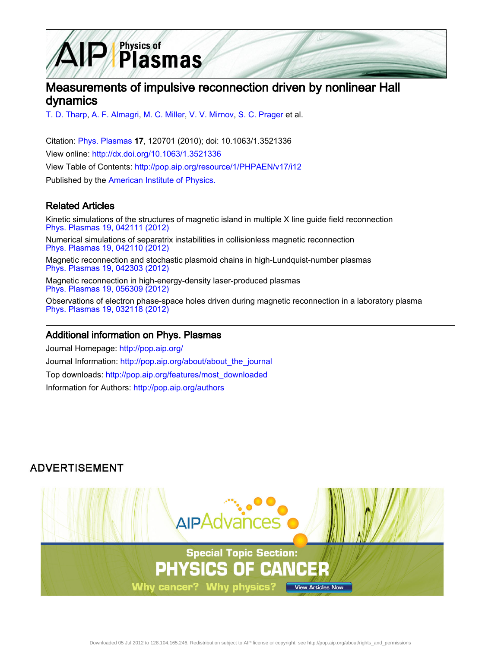

# Measurements of impulsive reconnection driven by nonlinear Hall dynamics

[T. D. Tharp,](http://pop.aip.org/search?sortby=newestdate&q=&searchzone=2&searchtype=searchin&faceted=faceted&key=AIP_ALL&possible1=T. D. Tharp&possible1zone=author&alias=&displayid=AIP&ver=pdfcov) [A. F. Almagri,](http://pop.aip.org/search?sortby=newestdate&q=&searchzone=2&searchtype=searchin&faceted=faceted&key=AIP_ALL&possible1=A. F. Almagri&possible1zone=author&alias=&displayid=AIP&ver=pdfcov) [M. C. Miller,](http://pop.aip.org/search?sortby=newestdate&q=&searchzone=2&searchtype=searchin&faceted=faceted&key=AIP_ALL&possible1=M. C. Miller&possible1zone=author&alias=&displayid=AIP&ver=pdfcov) [V. V. Mirnov,](http://pop.aip.org/search?sortby=newestdate&q=&searchzone=2&searchtype=searchin&faceted=faceted&key=AIP_ALL&possible1=V. V. Mirnov&possible1zone=author&alias=&displayid=AIP&ver=pdfcov) [S. C. Prager](http://pop.aip.org/search?sortby=newestdate&q=&searchzone=2&searchtype=searchin&faceted=faceted&key=AIP_ALL&possible1=S. C. Prager&possible1zone=author&alias=&displayid=AIP&ver=pdfcov) et al.

Citation: [Phys. Plasmas](http://pop.aip.org/?ver=pdfcov) 17, 120701 (2010); doi: 10.1063/1.3521336 View online: [http://dx.doi.org/10.1063/1.3521336](http://link.aip.org/link/doi/10.1063/1.3521336?ver=pdfcov) View Table of Contents: [http://pop.aip.org/resource/1/PHPAEN/v17/i12](http://pop.aip.org/resource/1/PHPAEN/v17/i12?ver=pdfcov) Published by the [American Institute of Physics.](http://www.aip.org/?ver=pdfcov)

### Related Articles

Kinetic simulations of the structures of magnetic island in multiple X line guide field reconnection [Phys. Plasmas 19, 042111 \(2012\)](http://link.aip.org/link/doi/10.1063/1.4704799?ver=pdfcov)

Numerical simulations of separatrix instabilities in collisionless magnetic reconnection [Phys. Plasmas 19, 042110 \(2012\)](http://link.aip.org/link/doi/10.1063/1.3698621?ver=pdfcov)

Magnetic reconnection and stochastic plasmoid chains in high-Lundquist-number plasmas [Phys. Plasmas 19, 042303 \(2012\)](http://link.aip.org/link/doi/10.1063/1.3703318?ver=pdfcov)

Magnetic reconnection in high-energy-density laser-produced plasmas [Phys. Plasmas 19, 056309 \(2012\)](http://link.aip.org/link/doi/10.1063/1.3694119?ver=pdfcov)

Observations of electron phase-space holes driven during magnetic reconnection in a laboratory plasma [Phys. Plasmas 19, 032118 \(2012\)](http://link.aip.org/link/doi/10.1063/1.3692224?ver=pdfcov)

#### Additional information on Phys. Plasmas

Journal Homepage: [http://pop.aip.org/](http://pop.aip.org/?ver=pdfcov) Journal Information: [http://pop.aip.org/about/about\\_the\\_journal](http://pop.aip.org/about/about_the_journal?ver=pdfcov) Top downloads: [http://pop.aip.org/features/most\\_downloaded](http://pop.aip.org/features/most_downloaded?ver=pdfcov) Information for Authors: [http://pop.aip.org/authors](http://pop.aip.org/authors?ver=pdfcov)

# **ADVERTISEMENT**

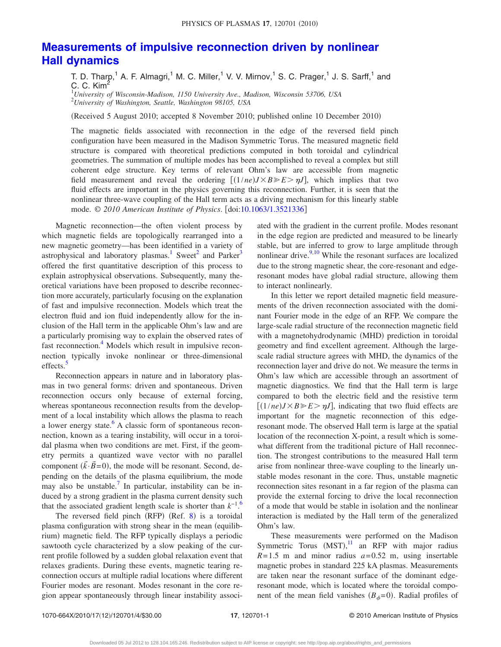# **[Measurements of impulsive reconnection driven by nonlinear](http://dx.doi.org/10.1063/1.3521336) [Hall dynamics](http://dx.doi.org/10.1063/1.3521336)**

T. D. Tharp,<sup>1</sup> A. F. Almagri,<sup>1</sup> M. C. Miller,<sup>1</sup> V. V. Mirnov,<sup>1</sup> S. C. Prager,<sup>1</sup> J. S. Sarff,<sup>1</sup> and C. C. Kim<sup>2</sup>

1 *University of Wisconsin-Madison, 1150 University Ave., Madison, Wisconsin 53706, USA* 2 *University of Washington, Seattle, Washington 98105, USA*

(Received 5 August 2010; accepted 8 November 2010; published online 10 December 2010)

The magnetic fields associated with reconnection in the edge of the reversed field pinch configuration have been measured in the Madison Symmetric Torus. The measured magnetic field structure is compared with theoretical predictions computed in both toroidal and cylindrical geometries. The summation of multiple modes has been accomplished to reveal a complex but still coherent edge structure. Key terms of relevant Ohm's law are accessible from magnetic field measurement and reveal the ordering  $[(1/ne)J \times B \ge E > \eta J]$ , which implies that two fluid effects are important in the physics governing this reconnection. Further, it is seen that the nonlinear three-wave coupling of the Hall term acts as a driving mechanism for this linearly stable mode. © *2010 American Institute of Physics*. doi[:10.1063/1.3521336](http://dx.doi.org/10.1063/1.3521336)

Magnetic reconnection—the often violent process by which magnetic fields are topologically rearranged into a new magnetic geometry—has been identified in a variety of astrophysical and laboratory plasmas.<sup>1</sup> Sweet<sup>2</sup> and Parker<sup>3</sup> offered the first quantitative description of this process to explain astrophysical observations. Subsequently, many theoretical variations have been proposed to describe reconnection more accurately, particularly focusing on the explanation of fast and impulsive reconnection. Models which treat the electron fluid and ion fluid independently allow for the inclusion of the Hall term in the applicable Ohm's law and are a particularly promising way to explain the observed rates of fast reconnection.<sup>4</sup> Models which result in impulsive reconnection typically invoke nonlinear or three-dimensional effects.<sup>5</sup>

Reconnection appears in nature and in laboratory plasmas in two general forms: driven and spontaneous. Driven reconnection occurs only because of external forcing, whereas spontaneous reconnection results from the development of a local instability which allows the plasma to reach a lower energy state. $6$  A classic form of spontaneous reconnection, known as a tearing instability, will occur in a toroidal plasma when two conditions are met. First, if the geometry permits a quantized wave vector with no parallel component  $(\vec{k} \cdot \vec{B} = 0)$ , the mode will be resonant. Second, depending on the details of the plasma equilibrium, the mode may also be unstable.<sup>7</sup> In particular, instability can be induced by a strong gradient in the plasma current density such that the associated gradient length scale is shorter than *k*−1. [6](#page-4-5)

The reversed field pinch  $(RFP)$   $(Ref. 8)$  $(Ref. 8)$  $(Ref. 8)$  is a toroidal plasma configuration with strong shear in the mean (equilibrium) magnetic field. The RFP typically displays a periodic sawtooth cycle characterized by a slow peaking of the current profile followed by a sudden global relaxation event that relaxes gradients. During these events, magnetic tearing reconnection occurs at multiple radial locations where different Fourier modes are resonant. Modes resonant in the core region appear spontaneously through linear instability associated with the gradient in the current profile. Modes resonant in the edge region are predicted and measured to be linearly stable, but are inferred to grow to large amplitude through nonlinear drive. $^{9,10}$  $^{9,10}$  $^{9,10}$  While the resonant surfaces are localized due to the strong magnetic shear, the core-resonant and edgeresonant modes have global radial structure, allowing them to interact nonlinearly.

In this letter we report detailed magnetic field measurements of the driven reconnection associated with the dominant Fourier mode in the edge of an RFP. We compare the large-scale radial structure of the reconnection magnetic field with a magnetohydrodynamic (MHD) prediction in toroidal geometry and find excellent agreement. Although the largescale radial structure agrees with MHD, the dynamics of the reconnection layer and drive do not. We measure the terms in Ohm's law which are accessible through an assortment of magnetic diagnostics. We find that the Hall term is large compared to both the electric field and the resistive term  $[(1/ne)J \times B \ge E > \eta J]$ , indicating that two fluid effects are important for the magnetic reconnection of this edgeresonant mode. The observed Hall term is large at the spatial location of the reconnection X-point, a result which is somewhat different from the traditional picture of Hall reconnection. The strongest contributions to the measured Hall term arise from nonlinear three-wave coupling to the linearly unstable modes resonant in the core. Thus, unstable magnetic reconnection sites resonant in a far region of the plasma can provide the external forcing to drive the local reconnection of a mode that would be stable in isolation and the nonlinear interaction is mediated by the Hall term of the generalized Ohm's law.

These measurements were performed on the Madison Symmetric Torus  $(MST)$ ,<sup>[11](#page-4-10)</sup> an RFP with major radius  $R=1.5$  m and minor radius  $a=0.52$  m, using insertable magnetic probes in standard 225 kA plasmas. Measurements are taken near the resonant surface of the dominant edgeresonant mode, which is located where the toroidal component of the mean field vanishes  $(B_{\phi}=0)$ . Radial profiles of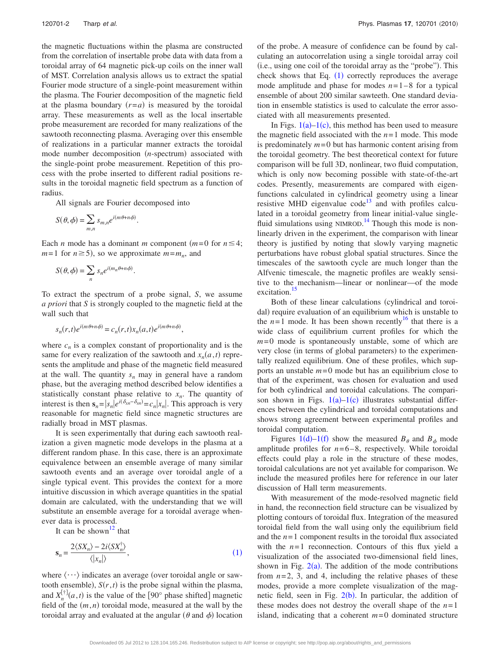the magnetic fluctuations within the plasma are constructed from the correlation of insertable probe data with data from a toroidal array of 64 magnetic pick-up coils on the inner wall of MST. Correlation analysis allows us to extract the spatial Fourier mode structure of a single-point measurement within the plasma. The Fourier decomposition of the magnetic field at the plasma boundary  $(r=a)$  is measured by the toroidal array. These measurements as well as the local insertable probe measurement are recorded for many realizations of the sawtooth reconnecting plasma. Averaging over this ensemble of realizations in a particular manner extracts the toroidal mode number decomposition (*n*-spectrum) associated with the single-point probe measurement. Repetition of this process with the probe inserted to different radial positions results in the toroidal magnetic field spectrum as a function of radius.

All signals are Fourier decomposed into

$$
S(\theta, \phi) = \sum_{m,n} s_{m,n} e^{i(m\theta + n\phi)}.
$$

Each *n* mode has a dominant *m* component ( $m=0$  for  $n \leq 4$ ;  $m=1$  for  $n \ge 5$ , so we approximate  $m=m_n$ , and

$$
S(\theta, \phi) = \sum_{n} s_n e^{i(m_n \theta + n\phi)}.
$$

To extract the spectrum of a probe signal, *S*, we assume *a priori* that *S* is strongly coupled to the magnetic field at the wall such that

$$
s_n(r,t)e^{i(m\theta+n\phi)} = c_n(r,t)x_n(a,t)e^{i(m\theta+n\phi)},
$$

where  $c_n$  is a complex constant of proportionality and is the same for every realization of the sawtooth and  $x_n(a, t)$  represents the amplitude and phase of the magnetic field measured at the wall. The quantity  $s_n$  may in general have a random phase, but the averaging method described below identifies a statistically constant phase relative to  $x_n$ . The quantity of interest is then  $\mathbf{s}_n = |s_n| e^{i(\delta_{xn} - \delta_{sn})} = c_n |x_n|$ . This approach is very reasonable for magnetic field since magnetic structures are radially broad in MST plasmas.

It is seen experimentally that during each sawtooth realization a given magnetic mode develops in the plasma at a different random phase. In this case, there is an approximate equivalence between an ensemble average of many similar sawtooth events and an average over toroidal angle of a single typical event. This provides the context for a more intuitive discussion in which average quantities in the spatial domain are calculated, with the understanding that we will substitute an ensemble average for a toroidal average whenever data is processed.

It can be shown<sup>12</sup> that

<span id="page-2-0"></span>
$$
\mathbf{s}_n = \frac{2\langle SX_n \rangle - 2i\langle SX_n^{\dagger} \rangle}{\langle |x_n| \rangle},\tag{1}
$$

where  $\langle \cdots \rangle$  indicates an average (over toroidal angle or sawtooth ensemble),  $S(r, t)$  is the probe signal within the plasma, and  $X_n^{[\dagger]}(a,t)$  is the value of the [90° phase shifted] magnetic field of the  $(m, n)$  toroidal mode, measured at the wall by the toroidal array and evaluated at the angular  $(\theta$  and  $\phi)$  location of the probe. A measure of confidence can be found by calculating an autocorrelation using a single toroidal array coil -i.e., using one coil of the toroidal array as the "probe". This check shows that Eq.  $(1)$  $(1)$  $(1)$  correctly reproduces the average mode amplitude and phase for modes  $n=1-8$  for a typical ensemble of about 200 similar sawteeth. One standard deviation in ensemble statistics is used to calculate the error associated with all measurements presented.

In Figs.  $1(a)-1(c)$  $1(a)-1(c)$ , this method has been used to measure the magnetic field associated with the  $n=1$  mode. This mode is predominately  $m = 0$  but has harmonic content arising from the toroidal geometry. The best theoretical context for future comparison will be full 3D, nonlinear, two fluid computation, which is only now becoming possible with state-of-the-art codes. Presently, measurements are compared with eigenfunctions calculated in cylindrical geometry using a linear resistive MHD eigenvalue  $code^{13}$  and with profiles calculated in a toroidal geometry from linear initial-value single-fluid simulations using NIMROD.<sup>[14](#page-4-13)</sup> Though this mode is nonlinearly driven in the experiment, the comparison with linear theory is justified by noting that slowly varying magnetic perturbations have robust global spatial structures. Since the timescales of the sawtooth cycle are much longer than the Alfvenic timescale, the magnetic profiles are weakly sensitive to the mechanism—linear or nonlinear—of the mode excitation.<sup>15</sup>

Both of these linear calculations (cylindrical and toroidal) require evaluation of an equilibrium which is unstable to the  $n=1$  mode. It has been shown recently<sup>16</sup> that there is a wide class of equilibrium current profiles for which the *m*= 0 mode is spontaneously unstable, some of which are very close (in terms of global parameters) to the experimentally realized equilibrium. One of these profiles, which supports an unstable  $m=0$  mode but has an equilibrium close to that of the experiment, was chosen for evaluation and used for both cylindrical and toroidal calculations. The comparison shown in Figs.  $1(a)-1(c)$  $1(a)-1(c)$  illustrates substantial differences between the cylindrical and toroidal computations and shows strong agreement between experimental profiles and toroidal computation.

Figures [1](#page-3-0)(d)[–1](#page-3-0)(f) show the measured  $B_{\theta}$  and  $B_{\phi}$  mode amplitude profiles for  $n=6-8$ , respectively. While toroidal effects could play a role in the structure of these modes, toroidal calculations are not yet available for comparison. We include the measured profiles here for reference in our later discussion of Hall term measurements.

With measurement of the mode-resolved magnetic field in hand, the reconnection field structure can be visualized by plotting contours of toroidal flux. Integration of the measured toroidal field from the wall using only the equilibrium field and the *n*= 1 component results in the toroidal flux associated with the  $n=1$  reconnection. Contours of this flux yield a visualization of the associated two-dimensional field lines, shown in Fig.  $2(a)$  $2(a)$ . The addition of the mode contributions from  $n=2$ , 3, and 4, including the relative phases of these modes, provide a more complete visualization of the magnetic field, seen in Fig.  $2(b)$  $2(b)$ . In particular, the addition of these modes does not destroy the overall shape of the  $n=1$ island, indicating that a coherent  $m = 0$  dominated structure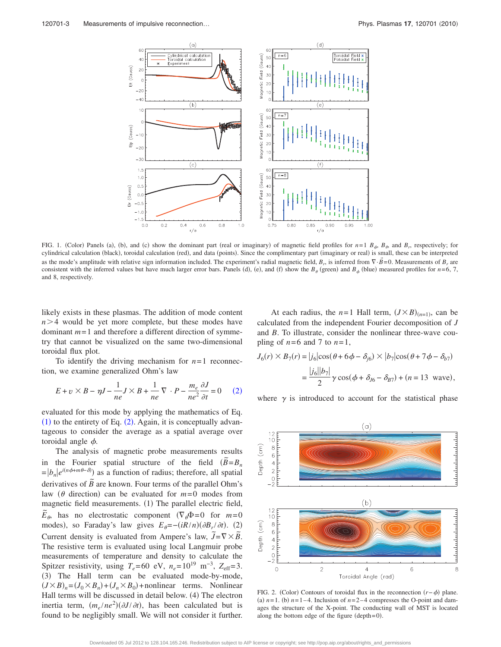<span id="page-3-0"></span>

FIG. 1. (Color) Panels (a), (b), and (c) show the dominant part (real or imaginary) of magnetic field profiles for  $n=1$   $B_{\phi}$ ,  $B_{\phi}$ , and  $B_{r}$ , respectively; for cylindrical calculation (black), toroidal calculation (red), and data (points). Since the complimentary part (imaginary or real) is small, these can be interpreted as the mode's amplitude with relative sign information included. The experiment's radial magnetic field,  $B_r$ , is inferred from  $\nabla \cdot \vec{B} = 0$ . Measurements of  $B_r$  are consistent with the inferred values but have much larger error bars. Panels (d), (e), and (f) show the  $B_\theta$  (green) and  $B_\phi$  (blue) measured profiles for *n*=6, 7, and 8, respectively.

*J*6-

likely exists in these plasmas. The addition of mode content  $n > 4$  would be yet more complete, but these modes have dominant *m*= 1 and therefore a different direction of symmetry that cannot be visualized on the same two-dimensional toroidal flux plot.

<span id="page-3-2"></span>To identify the driving mechanism for  $n=1$  reconnection, we examine generalized Ohm's law

$$
E + v \times B - \eta J - \frac{1}{ne} J \times B + \frac{1}{ne} \nabla \cdot P - \frac{m_e}{ne^2} \frac{\partial J}{\partial t} = 0 \tag{2}
$$

evaluated for this mode by applying the mathematics of Eq.  $(1)$  $(1)$  $(1)$  to the entirety of Eq.  $(2)$  $(2)$  $(2)$ . Again, it is conceptually advantageous to consider the average as a spatial average over toroidal angle  $\phi$ .

The analysis of magnetic probe measurements results in the Fourier spatial structure of the field  $(\tilde{B} = B_n)$  $= |b_n|e^{i(n\phi + m\theta - \delta)}$  as a function of radius; therefore, all spatial derivatives of  $\tilde{B}$  are known. Four terms of the parallel Ohm's law ( $\theta$  direction) can be evaluated for  $m=0$  modes from magnetic field measurements. (1) The parallel electric field,  $\tilde{E}_{\theta}$ , has no electrostatic component  $(\nabla_{\theta} \Phi = 0$  for  $m = 0$ modes), so Faraday's law gives  $E_{\theta} = -(iR/n)(\partial B_r/\partial t)$ . (2) Current density is evaluated from Ampere's law,  $\tilde{J} = \nabla \times \tilde{B}$ . The resistive term is evaluated using local Langmuir probe measurements of temperature and density to calculate the Spitzer resistivity, using  $T_e$ =60 eV,  $n_e$ =10<sup>19</sup> m<sup>-3</sup>,  $Z_{\text{eff}}$ =3. (3) The Hall term can be evaluated mode-by-mode,  $(J \times B)_n = (J_0 \times B_n) + (J_n \times B_0) +$  nonlinear terms. Nonlinear Hall terms will be discussed in detail below. (4) The electron inertia term,  $(m_e / ne^2) (\partial J / \partial t)$ , has been calculated but is found to be negligibly small. We will not consider it further.

At each radius, the  $n=1$  Hall term,  $(J \times B)_{(n=1)}$ , can be calculated from the independent Fourier decomposition of *J* and *B*. To illustrate, consider the nonlinear three-wave coupling of  $n=6$  and 7 to  $n=1$ ,

$$
\begin{aligned} \n\delta(r) \times B_7(r) &= |j_6|\cos(\theta + 6\phi - \delta_{j6}) \times |b_7|\cos(\theta + 7\phi - \delta_{b7}) \\ \n&= \frac{|j_6||b_7|}{2} \gamma \cos(\phi + \delta_{j6} - \delta_{j7}) + (n = 13 \text{ wave}), \n\end{aligned}
$$

where  $\gamma$  is introduced to account for the statistical phase

<span id="page-3-1"></span>

FIG. 2. (Color) Contours of toroidal flux in the reconnection  $(r - \phi)$  plane. (a)  $n=1$ . (b)  $n=1-4$ . Inclusion of  $n=2-4$  compresses the O-point and damages the structure of the X-point. The conducting wall of MST is located along the bottom edge of the figure  $(depth=0)$ .